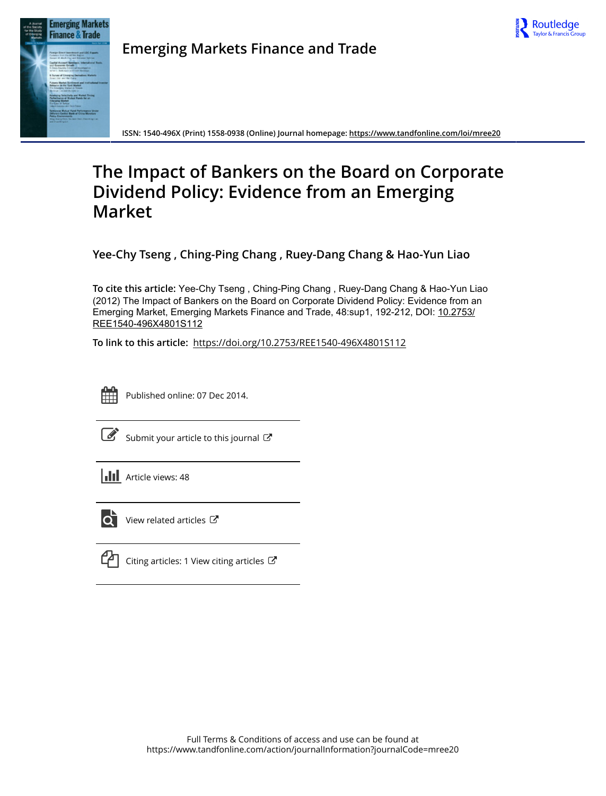



**Emerging Markets Finance and Trade**

**ISSN: 1540-496X (Print) 1558-0938 (Online) Journal homepage: <https://www.tandfonline.com/loi/mree20>**

# **The Impact of Bankers on the Board on Corporate Dividend Policy: Evidence from an Emerging Market**

**Yee-Chy Tseng , Ching-Ping Chang , Ruey-Dang Chang & Hao-Yun Liao**

**To cite this article:** Yee-Chy Tseng , Ching-Ping Chang , Ruey-Dang Chang & Hao-Yun Liao (2012) The Impact of Bankers on the Board on Corporate Dividend Policy: Evidence from an Emerging Market, Emerging Markets Finance and Trade, 48:sup1, 192-212, DOI: [10.2753/](https://www.tandfonline.com/action/showCitFormats?doi=10.2753/REE1540-496X4801S112) [REE1540-496X4801S112](https://www.tandfonline.com/action/showCitFormats?doi=10.2753/REE1540-496X4801S112)

**To link to this article:** <https://doi.org/10.2753/REE1540-496X4801S112>



Published online: 07 Dec 2014.

|--|

[Submit your article to this journal](https://www.tandfonline.com/action/authorSubmission?journalCode=mree20&show=instructions)  $\mathbb{Z}$ 





 $\overrightarrow{Q}$  [View related articles](https://www.tandfonline.com/doi/mlt/10.2753/REE1540-496X4801S112)  $\overrightarrow{C}$ 



[Citing articles: 1 View citing articles](https://www.tandfonline.com/doi/citedby/10.2753/REE1540-496X4801S112#tabModule)  $\mathbb{Z}$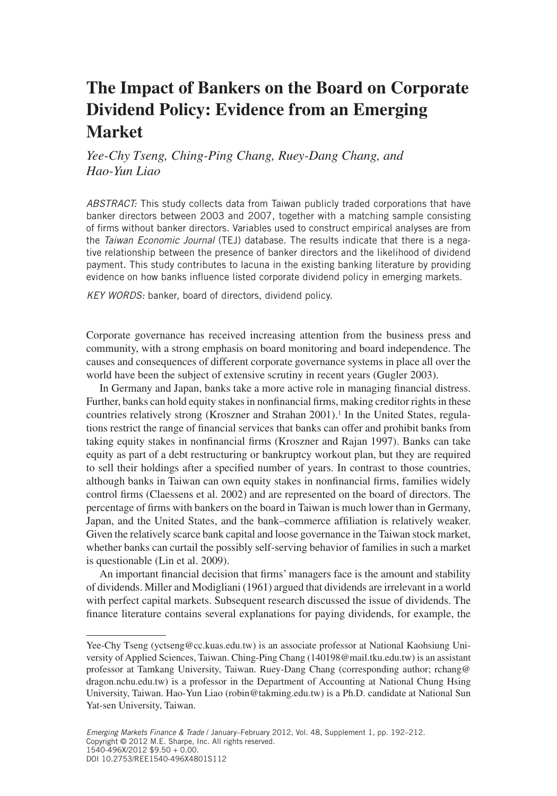## **The Impact of Bankers on the Board on Corporate Dividend Policy: Evidence from an Emerging Market**

*Yee-Chy Tseng, Ching-Ping Chang, Ruey-Dang Chang, and Hao-Yun Liao*

*ABSTRACT:* This study collects data from Taiwan publicly traded corporations that have banker directors between 2003 and 2007, together with a matching sample consisting of firms without banker directors. Variables used to construct empirical analyses are from the *Taiwan Economic Journal* (TEJ) database. The results indicate that there is a negative relationship between the presence of banker directors and the likelihood of dividend payment. This study contributes to lacuna in the existing banking literature by providing evidence on how banks influence listed corporate dividend policy in emerging markets.

*KEY WORDS:* banker, board of directors, dividend policy.

Corporate governance has received increasing attention from the business press and community, with a strong emphasis on board monitoring and board independence. The causes and consequences of different corporate governance systems in place all over the world have been the subject of extensive scrutiny in recent years (Gugler 2003).

In Germany and Japan, banks take a more active role in managing financial distress. Further, banks can hold equity stakes in nonfinancial firms, making creditor rights in these countries relatively strong (Kroszner and Strahan 2001).<sup>1</sup> In the United States, regulations restrict the range of financial services that banks can offer and prohibit banks from taking equity stakes in nonfinancial firms (Kroszner and Rajan 1997). Banks can take equity as part of a debt restructuring or bankruptcy workout plan, but they are required to sell their holdings after a specified number of years. In contrast to those countries, although banks in Taiwan can own equity stakes in nonfinancial firms, families widely control firms (Claessens et al. 2002) and are represented on the board of directors. The percentage of firms with bankers on the board in Taiwan is much lower than in Germany, Japan, and the United States, and the bank–commerce affiliation is relatively weaker. Given the relatively scarce bank capital and loose governance in the Taiwan stock market, whether banks can curtail the possibly self-serving behavior of families in such a market is questionable (Lin et al. 2009).

An important financial decision that firms' managers face is the amount and stability of dividends. Miller and Modigliani (1961) argued that dividends are irrelevant in a world with perfect capital markets. Subsequent research discussed the issue of dividends. The finance literature contains several explanations for paying dividends, for example, the

Yee-Chy Tseng (yctseng@cc.kuas.edu.tw) is an associate professor at National Kaohsiung University of Applied Sciences, Taiwan. Ching-Ping Chang (140198@mail.tku.edu.tw) is an assistant professor at Tamkang University, Taiwan. Ruey-Dang Chang (corresponding author; rchang@ dragon.nchu.edu.tw) is a professor in the Department of Accounting at National Chung Hsing University, Taiwan. Hao-Yun Liao (robin@takming.edu.tw) is a Ph.D. candidate at National Sun Yat-sen University, Taiwan.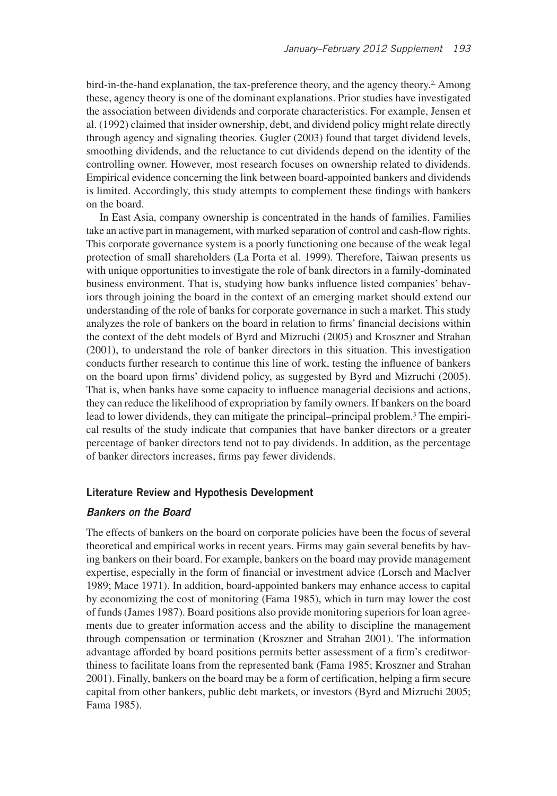bird-in-the-hand explanation, the tax-preference theory, and the agency theory.<sup>2,</sup> Among these, agency theory is one of the dominant explanations. Prior studies have investigated the association between dividends and corporate characteristics. For example, Jensen et al. (1992) claimed that insider ownership, debt, and dividend policy might relate directly through agency and signaling theories. Gugler (2003) found that target dividend levels, smoothing dividends, and the reluctance to cut dividends depend on the identity of the controlling owner. However, most research focuses on ownership related to dividends. Empirical evidence concerning the link between board-appointed bankers and dividends is limited. Accordingly, this study attempts to complement these findings with bankers on the board.

In East Asia, company ownership is concentrated in the hands of families. Families take an active part in management, with marked separation of control and cash-flow rights. This corporate governance system is a poorly functioning one because of the weak legal protection of small shareholders (La Porta et al. 1999). Therefore, Taiwan presents us with unique opportunities to investigate the role of bank directors in a family-dominated business environment. That is, studying how banks influence listed companies' behaviors through joining the board in the context of an emerging market should extend our understanding of the role of banks for corporate governance in such a market. This study analyzes the role of bankers on the board in relation to firms' financial decisions within the context of the debt models of Byrd and Mizruchi (2005) and Kroszner and Strahan (2001), to understand the role of banker directors in this situation. This investigation conducts further research to continue this line of work, testing the influence of bankers on the board upon firms' dividend policy, as suggested by Byrd and Mizruchi (2005). That is, when banks have some capacity to influence managerial decisions and actions, they can reduce the likelihood of expropriation by family owners. If bankers on the board lead to lower dividends, they can mitigate the principal-principal problem.<sup>3</sup> The empirical results of the study indicate that companies that have banker directors or a greater percentage of banker directors tend not to pay dividends. In addition, as the percentage of banker directors increases, firms pay fewer dividends.

#### Literature Review and Hypothesis Development

#### *Bankers on the Board*

The effects of bankers on the board on corporate policies have been the focus of several theoretical and empirical works in recent years. Firms may gain several benefits by having bankers on their board. For example, bankers on the board may provide management expertise, especially in the form of financial or investment advice (Lorsch and Maclver 1989; Mace 1971). In addition, board-appointed bankers may enhance access to capital by economizing the cost of monitoring (Fama 1985), which in turn may lower the cost of funds (James 1987). Board positions also provide monitoring superiors for loan agreements due to greater information access and the ability to discipline the management through compensation or termination (Kroszner and Strahan 2001). The information advantage afforded by board positions permits better assessment of a firm's creditworthiness to facilitate loans from the represented bank (Fama 1985; Kroszner and Strahan 2001). Finally, bankers on the board may be a form of certification, helping a firm secure capital from other bankers, public debt markets, or investors (Byrd and Mizruchi 2005; Fama 1985).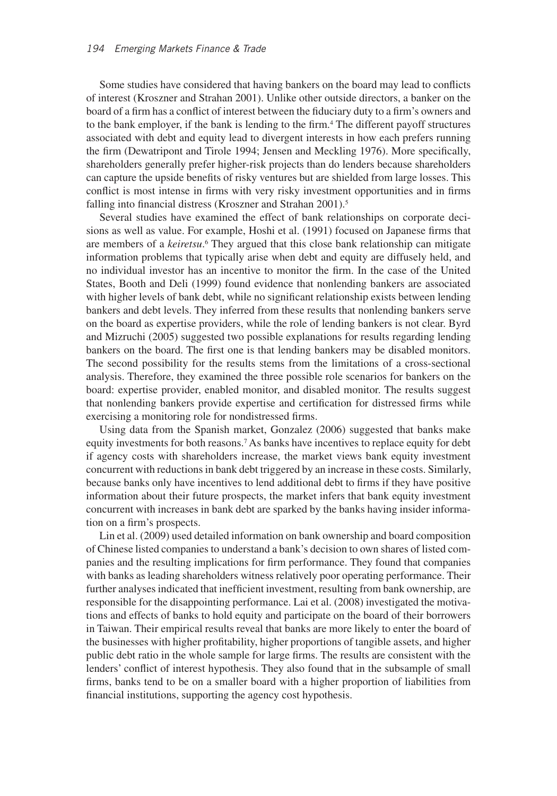Some studies have considered that having bankers on the board may lead to conflicts of interest (Kroszner and Strahan 2001). Unlike other outside directors, a banker on the board of a firm has a conflict of interest between the fiduciary duty to a firm's owners and to the bank employer, if the bank is lending to the firm.<sup>4</sup> The different payoff structures associated with debt and equity lead to divergent interests in how each prefers running the firm (Dewatripont and Tirole 1994; Jensen and Meckling 1976). More specifically, shareholders generally prefer higher-risk projects than do lenders because shareholders can capture the upside benefits of risky ventures but are shielded from large losses. This conflict is most intense in firms with very risky investment opportunities and in firms falling into financial distress (Kroszner and Strahan 2001).<sup>5</sup>

Several studies have examined the effect of bank relationships on corporate decisions as well as value. For example, Hoshi et al. (1991) focused on Japanese firms that are members of a *keiretsu*. 6 They argued that this close bank relationship can mitigate information problems that typically arise when debt and equity are diffusely held, and no individual investor has an incentive to monitor the firm. In the case of the United States, Booth and Deli (1999) found evidence that nonlending bankers are associated with higher levels of bank debt, while no significant relationship exists between lending bankers and debt levels. They inferred from these results that nonlending bankers serve on the board as expertise providers, while the role of lending bankers is not clear. Byrd and Mizruchi (2005) suggested two possible explanations for results regarding lending bankers on the board. The first one is that lending bankers may be disabled monitors. The second possibility for the results stems from the limitations of a cross-sectional analysis. Therefore, they examined the three possible role scenarios for bankers on the board: expertise provider, enabled monitor, and disabled monitor. The results suggest that nonlending bankers provide expertise and certification for distressed firms while exercising a monitoring role for nondistressed firms.

Using data from the Spanish market, Gonzalez (2006) suggested that banks make equity investments for both reasons.<sup>7</sup> As banks have incentives to replace equity for debt if agency costs with shareholders increase, the market views bank equity investment concurrent with reductions in bank debt triggered by an increase in these costs. Similarly, because banks only have incentives to lend additional debt to firms if they have positive information about their future prospects, the market infers that bank equity investment concurrent with increases in bank debt are sparked by the banks having insider information on a firm's prospects.

Lin et al. (2009) used detailed information on bank ownership and board composition of Chinese listed companies to understand a bank's decision to own shares of listed companies and the resulting implications for firm performance. They found that companies with banks as leading shareholders witness relatively poor operating performance. Their further analyses indicated that inefficient investment, resulting from bank ownership, are responsible for the disappointing performance. Lai et al. (2008) investigated the motivations and effects of banks to hold equity and participate on the board of their borrowers in Taiwan. Their empirical results reveal that banks are more likely to enter the board of the businesses with higher profitability, higher proportions of tangible assets, and higher public debt ratio in the whole sample for large firms. The results are consistent with the lenders' conflict of interest hypothesis. They also found that in the subsample of small firms, banks tend to be on a smaller board with a higher proportion of liabilities from financial institutions, supporting the agency cost hypothesis.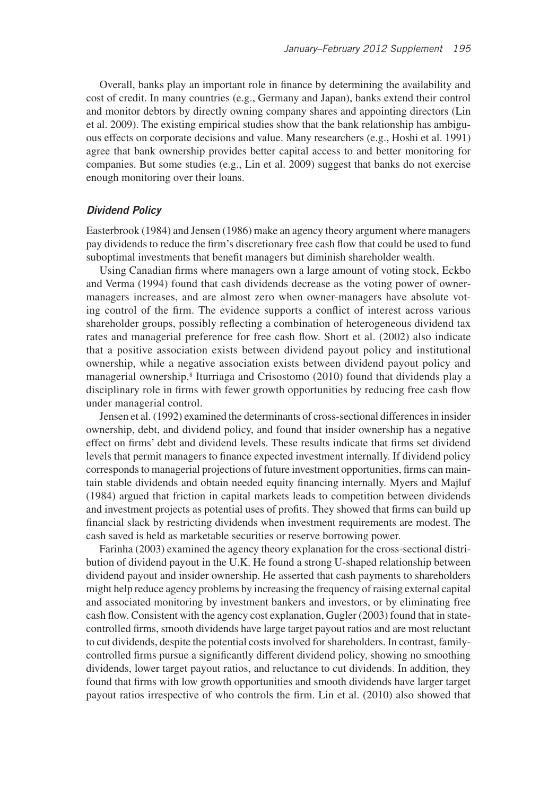Overall, banks play an important role in finance by determining the availability and cost of credit. In many countries (e.g., Germany and Japan), banks extend their control and monitor debtors by directly owning company shares and appointing directors (Lin et al. 2009). The existing empirical studies show that the bank relationship has ambiguous effects on corporate decisions and value. Many researchers (e.g., Hoshi et al. 1991) agree that bank ownership provides better capital access to and better monitoring for companies. But some studies (e.g., Lin et al. 2009) suggest that banks do not exercise enough monitoring over their loans.

## *Dividend Policy*

Easterbrook (1984) and Jensen (1986) make an agency theory argument where managers pay dividends to reduce the firm's discretionary free cash flow that could be used to fund suboptimal investments that benefit managers but diminish shareholder wealth.

Using Canadian firms where managers own a large amount of voting stock, Eckbo and Verma (1994) found that cash dividends decrease as the voting power of ownermanagers increases, and are almost zero when owner-managers have absolute voting control of the firm. The evidence supports a conflict of interest across various shareholder groups, possibly reflecting a combination of heterogeneous dividend tax rates and managerial preference for free cash flow. Short et al. (2002) also indicate that a positive association exists between dividend payout policy and institutional ownership, while a negative association exists between dividend payout policy and managerial ownership.<sup>8</sup> Iturriaga and Crisostomo (2010) found that dividends play a disciplinary role in firms with fewer growth opportunities by reducing free cash flow under managerial control.

Jensen et al. (1992) examined the determinants of cross-sectional differences in insider ownership, debt, and dividend policy, and found that insider ownership has a negative effect on firms' debt and dividend levels. These results indicate that firms set dividend levels that permit managers to finance expected investment internally. If dividend policy corresponds to managerial projections of future investment opportunities, firms can maintain stable dividends and obtain needed equity financing internally. Myers and Majluf (1984) argued that friction in capital markets leads to competition between dividends and investment projects as potential uses of profits. They showed that firms can build up financial slack by restricting dividends when investment requirements are modest. The cash saved is held as marketable securities or reserve borrowing power.

Farinha (2003) examined the agency theory explanation for the cross-sectional distribution of dividend payout in the U.K. He found a strong U-shaped relationship between dividend payout and insider ownership. He asserted that cash payments to shareholders might help reduce agency problems by increasing the frequency of raising external capital and associated monitoring by investment bankers and investors, or by eliminating free cash flow. Consistent with the agency cost explanation, Gugler (2003) found that in statecontrolled firms, smooth dividends have large target payout ratios and are most reluctant to cut dividends, despite the potential costs involved for shareholders. In contrast, familycontrolled firms pursue a significantly different dividend policy, showing no smoothing dividends, lower target payout ratios, and reluctance to cut dividends. In addition, they found that firms with low growth opportunities and smooth dividends have larger target payout ratios irrespective of who controls the firm. Lin et al. (2010) also showed that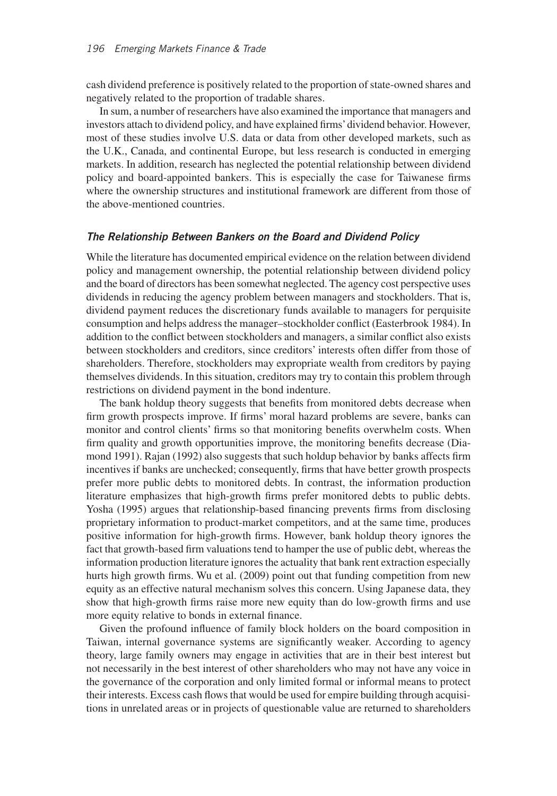cash dividend preference is positively related to the proportion of state-owned shares and negatively related to the proportion of tradable shares.

In sum, a number of researchers have also examined the importance that managers and investors attach to dividend policy, and have explained firms' dividend behavior. However, most of these studies involve U.S. data or data from other developed markets, such as the U.K., Canada, and continental Europe, but less research is conducted in emerging markets. In addition, research has neglected the potential relationship between dividend policy and board-appointed bankers. This is especially the case for Taiwanese firms where the ownership structures and institutional framework are different from those of the above-mentioned countries.

#### *The Relationship Between Bankers on the Board and Dividend Policy*

While the literature has documented empirical evidence on the relation between dividend policy and management ownership, the potential relationship between dividend policy and the board of directors has been somewhat neglected. The agency cost perspective uses dividends in reducing the agency problem between managers and stockholders. That is, dividend payment reduces the discretionary funds available to managers for perquisite consumption and helps address the manager–stockholder conflict (Easterbrook 1984). In addition to the conflict between stockholders and managers, a similar conflict also exists between stockholders and creditors, since creditors' interests often differ from those of shareholders. Therefore, stockholders may expropriate wealth from creditors by paying themselves dividends. In this situation, creditors may try to contain this problem through restrictions on dividend payment in the bond indenture.

The bank holdup theory suggests that benefits from monitored debts decrease when firm growth prospects improve. If firms' moral hazard problems are severe, banks can monitor and control clients' firms so that monitoring benefits overwhelm costs. When firm quality and growth opportunities improve, the monitoring benefits decrease (Diamond 1991). Rajan (1992) also suggests that such holdup behavior by banks affects firm incentives if banks are unchecked; consequently, firms that have better growth prospects prefer more public debts to monitored debts. In contrast, the information production literature emphasizes that high-growth firms prefer monitored debts to public debts. Yosha (1995) argues that relationship-based financing prevents firms from disclosing proprietary information to product-market competitors, and at the same time, produces positive information for high-growth firms. However, bank holdup theory ignores the fact that growth-based firm valuations tend to hamper the use of public debt, whereas the information production literature ignores the actuality that bank rent extraction especially hurts high growth firms. Wu et al. (2009) point out that funding competition from new equity as an effective natural mechanism solves this concern. Using Japanese data, they show that high-growth firms raise more new equity than do low-growth firms and use more equity relative to bonds in external finance.

Given the profound influence of family block holders on the board composition in Taiwan, internal governance systems are significantly weaker. According to agency theory, large family owners may engage in activities that are in their best interest but not necessarily in the best interest of other shareholders who may not have any voice in the governance of the corporation and only limited formal or informal means to protect their interests. Excess cash flows that would be used for empire building through acquisitions in unrelated areas or in projects of questionable value are returned to shareholders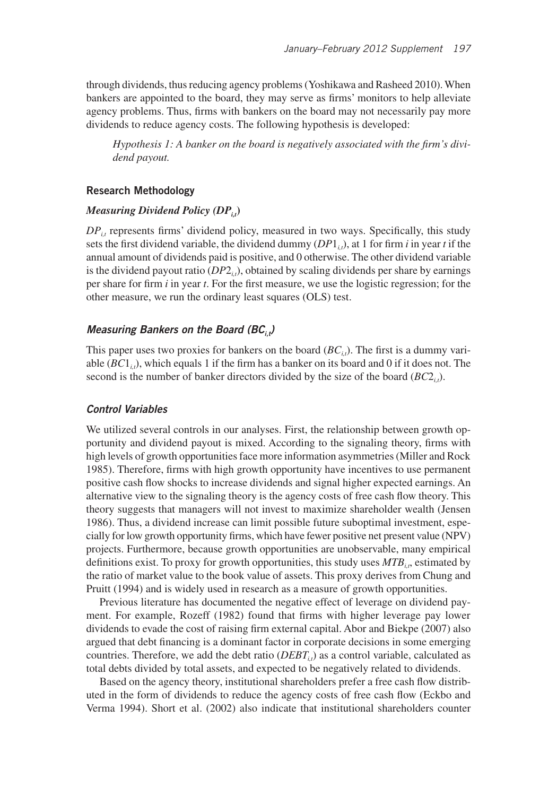through dividends, thus reducing agency problems (Yoshikawa and Rasheed 2010). When bankers are appointed to the board, they may serve as firms' monitors to help alleviate agency problems. Thus, firms with bankers on the board may not necessarily pay more dividends to reduce agency costs. The following hypothesis is developed:

*Hypothesis 1: A banker on the board is negatively associated with the firm's dividend payout.*

## Research Methodology

## *Measuring Dividend Policy (DP<sub>it</sub>)*

 $DP_{i}$  represents firms' dividend policy, measured in two ways. Specifically, this study sets the first dividend variable, the dividend dummy  $(DP1_i)$ , at 1 for firm *i* in year *t* if the annual amount of dividends paid is positive, and 0 otherwise. The other dividend variable is the dividend payout ratio  $(DP2<sub>i</sub>)$ , obtained by scaling dividends per share by earnings per share for firm *i* in year *t*. For the first measure, we use the logistic regression; for the other measure, we run the ordinary least squares (OLS) test.

## *Measuring Bankers on the Board (BC<sub>i</sub>,)*

This paper uses two proxies for bankers on the board  $(BC_i)$ . The first is a dummy variable  $(BC1_i)$ , which equals 1 if the firm has a banker on its board and 0 if it does not. The second is the number of banker directors divided by the size of the board  $(BC2<sub>i</sub>)$ .

## *Control Variables*

We utilized several controls in our analyses. First, the relationship between growth opportunity and dividend payout is mixed. According to the signaling theory, firms with high levels of growth opportunities face more information asymmetries (Miller and Rock 1985). Therefore, firms with high growth opportunity have incentives to use permanent positive cash flow shocks to increase dividends and signal higher expected earnings. An alternative view to the signaling theory is the agency costs of free cash flow theory. This theory suggests that managers will not invest to maximize shareholder wealth (Jensen 1986). Thus, a dividend increase can limit possible future suboptimal investment, especially for low growth opportunity firms, which have fewer positive net present value (NPV) projects. Furthermore, because growth opportunities are unobservable, many empirical definitions exist. To proxy for growth opportunities, this study uses  $MTB_i$ , estimated by the ratio of market value to the book value of assets. This proxy derives from Chung and Pruitt (1994) and is widely used in research as a measure of growth opportunities.

Previous literature has documented the negative effect of leverage on dividend payment. For example, Rozeff (1982) found that firms with higher leverage pay lower dividends to evade the cost of raising firm external capital. Abor and Biekpe (2007) also argued that debt financing is a dominant factor in corporate decisions in some emerging countries. Therefore, we add the debt ratio  $(DEBT_i)$  as a control variable, calculated as total debts divided by total assets, and expected to be negatively related to dividends.

Based on the agency theory, institutional shareholders prefer a free cash flow distributed in the form of dividends to reduce the agency costs of free cash flow (Eckbo and Verma 1994). Short et al. (2002) also indicate that institutional shareholders counter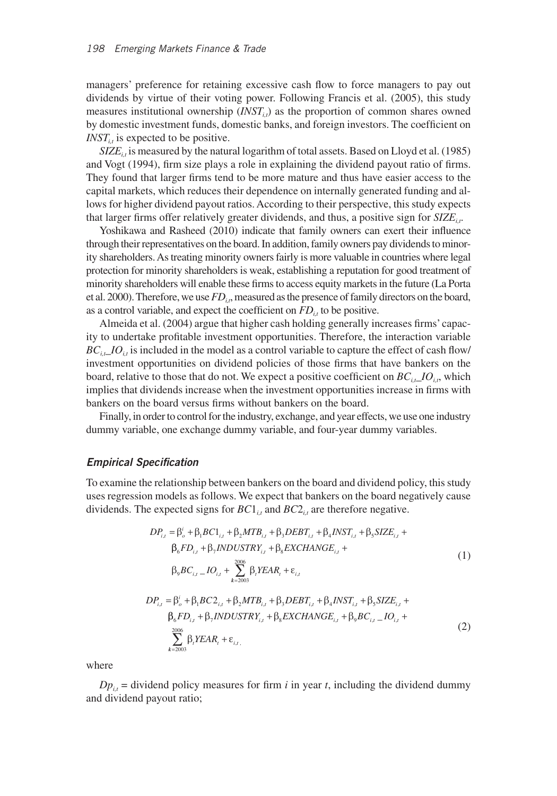managers' preference for retaining excessive cash flow to force managers to pay out dividends by virtue of their voting power. Following Francis et al. (2005), this study measures institutional ownership  $(INST<sub>i</sub>)$  as the proportion of common shares owned by domestic investment funds, domestic banks, and foreign investors. The coefficient on  $INST<sub>i</sub>$  is expected to be positive.

*SIZE<sub>i</sub>*, is measured by the natural logarithm of total assets. Based on Lloyd et al. (1985) and Vogt (1994), firm size plays a role in explaining the dividend payout ratio of firms. They found that larger firms tend to be more mature and thus have easier access to the capital markets, which reduces their dependence on internally generated funding and allows for higher dividend payout ratios. According to their perspective, this study expects that larger firms offer relatively greater dividends, and thus, a positive sign for  $\text{SIZE}_{i}$ .

Yoshikawa and Rasheed (2010) indicate that family owners can exert their influence through their representatives on the board. In addition, family owners pay dividends to minority shareholders. As treating minority owners fairly is more valuable in countries where legal protection for minority shareholders is weak, establishing a reputation for good treatment of minority shareholders will enable these firms to access equity markets in the future (La Porta et al. 2000). Therefore, we use  $FD_{i}$ , measured as the presence of family directors on the board, as a control variable, and expect the coefficient on  $FD_{it}$  to be positive.

Almeida et al. (2004) argue that higher cash holding generally increases firms' capacity to undertake profitable investment opportunities. Therefore, the interaction variable  $BC_{i}$ *LO<sub>it</sub>* is included in the model as a control variable to capture the effect of cash flow/ investment opportunities on dividend policies of those firms that have bankers on the board, relative to those that do not. We expect a positive coefficient on  $BC_{i,t}$ *\_IO<sub>it</sub>*, which implies that dividends increase when the investment opportunities increase in firms with bankers on the board versus firms without bankers on the board.

Finally, in order to control for the industry, exchange, and year effects, we use one industry dummy variable, one exchange dummy variable, and four-year dummy variables.

#### *Empirical Specification*

To examine the relationship between bankers on the board and dividend policy, this study uses regression models as follows. We expect that bankers on the board negatively cause dividends. The expected signs for  $BC1_{i,t}$  and  $BC2_{i,t}$  are therefore negative.

$$
DP_{i,t} = \beta_o^i + \beta_1 BC1_{i,t} + \beta_2 MTB_{i,t} + \beta_3 DEBT_{i,t} + \beta_4 INST_{i,t} + \beta_5 SIZE_{i,t} + \n\beta_6 FD_{i,t} + \beta_7 INDUSTRY_{i,t} + \beta_8 EXCHANGE_{i,t} + \n\beta_9 BC_{i,t} = IO_{i,t} + \sum_{k=2003}^{2006} \beta_1 YEAR_t + \varepsilon_{i,t} \nDP_{i,t} = \beta_o^i + \beta_1 BC2_{i,t} + \beta_2 MTB_{i,t} + \beta_3 DEBT_{i,t} + \beta_4 INST_{i,t} + \beta_5 SIZE_{i,t} + \n\beta_6 FD_{i,t} + \beta_7 INDUSTRY_{i,t} + \beta_8 EXCHANCE_{i,t} + \beta_9 BC_{i,t} = IO_{i,t} + \n\sum_{k=2003}^{2006} \beta_1 YEAR_t + \varepsilon_{i,t}
$$
\n(2)

where

 $Dp_{i,t}$  = dividend policy measures for firm *i* in year *t*, including the dividend dummy and dividend payout ratio;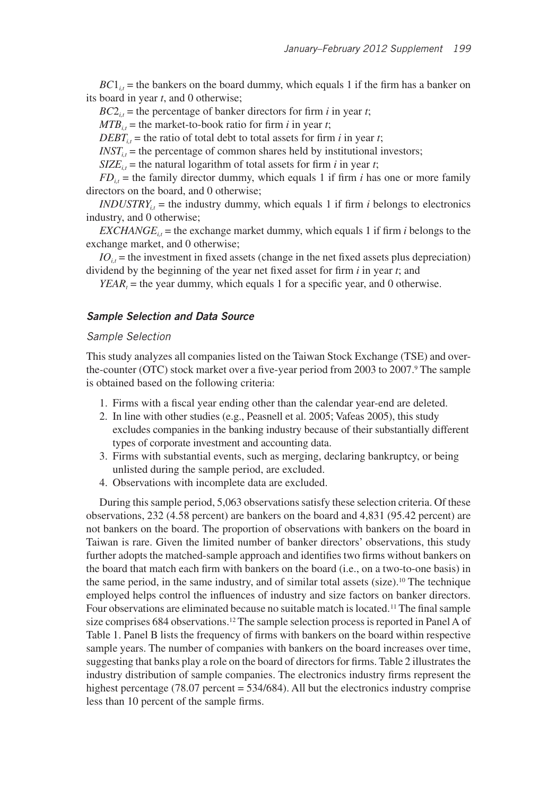$BC1_{ij}$  = the bankers on the board dummy, which equals 1 if the firm has a banker on its board in year *t*, and 0 otherwise;

 $BC2_i$  = the percentage of banker directors for firm *i* in year *t*;

 $MTB_i$  = the market-to-book ratio for firm *i* in year *t*;

 $DEBT_{i,t}$  = the ratio of total debt to total assets for firm *i* in year *t*;

 $INST_{i}$  = the percentage of common shares held by institutional investors;

 $SIZE_{i,t}$  = the natural logarithm of total assets for firm *i* in year *t*;

 $FD_{it}$  = the family director dummy, which equals 1 if firm *i* has one or more family directors on the board, and 0 otherwise;

 $INDUSTRY_i$  = the industry dummy, which equals 1 if firm *i* belongs to electronics industry, and 0 otherwise;

 $EXCHANCE_{i,t}$  = the exchange market dummy, which equals 1 if firm *i* belongs to the exchange market, and 0 otherwise;

 $IO_{it}$  = the investment in fixed assets (change in the net fixed assets plus depreciation) dividend by the beginning of the year net fixed asset for firm *i* in year *t*; and

 $YEAR<sub>t</sub>$  = the year dummy, which equals 1 for a specific year, and 0 otherwise.

## *Sample Selection and Data Source*

## *Sample Selection*

This study analyzes all companies listed on the Taiwan Stock Exchange (TSE) and overthe-counter (OTC) stock market over a five-year period from 2003 to 2007.<sup>9</sup> The sample is obtained based on the following criteria:

- 1. Firms with a fiscal year ending other than the calendar year-end are deleted.
- 2. In line with other studies (e.g., Peasnell et al. 2005; Vafeas 2005), this study excludes companies in the banking industry because of their substantially different types of corporate investment and accounting data.
- 3. Firms with substantial events, such as merging, declaring bankruptcy, or being unlisted during the sample period, are excluded.
- 4. Observations with incomplete data are excluded.

During this sample period, 5,063 observations satisfy these selection criteria. Of these observations, 232 (4.58 percent) are bankers on the board and 4,831 (95.42 percent) are not bankers on the board. The proportion of observations with bankers on the board in Taiwan is rare. Given the limited number of banker directors' observations, this study further adopts the matched-sample approach and identifies two firms without bankers on the board that match each firm with bankers on the board (i.e., on a two-to-one basis) in the same period, in the same industry, and of similar total assets (size).10 The technique employed helps control the influences of industry and size factors on banker directors. Four observations are eliminated because no suitable match is located.11 The final sample size comprises 684 observations.12 The sample selection process is reported in Panel A of Table 1. Panel B lists the frequency of firms with bankers on the board within respective sample years. The number of companies with bankers on the board increases over time, suggesting that banks play a role on the board of directors for firms. Table 2 illustrates the industry distribution of sample companies. The electronics industry firms represent the highest percentage (78.07 percent = 534/684). All but the electronics industry comprise less than 10 percent of the sample firms.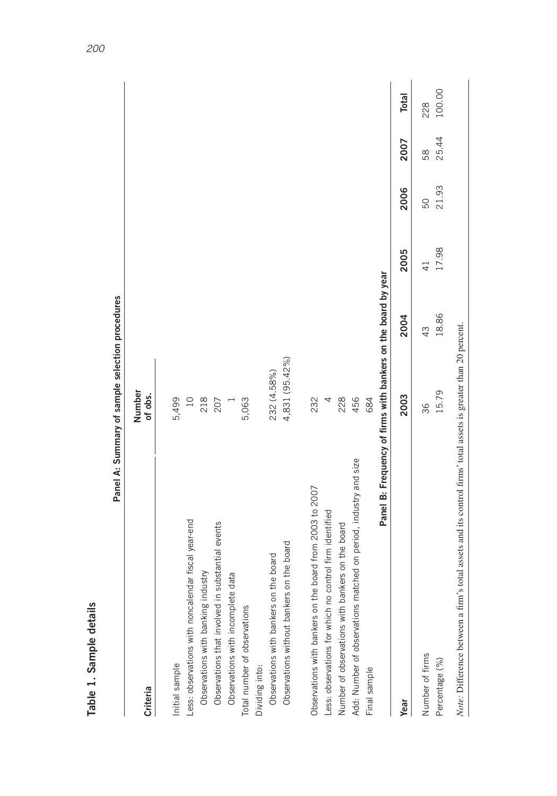| ï<br>ш<br>ı |
|-------------|
| l<br>ı      |
| i<br>Ľ<br>≗ |

| Table 1. Sample details                                          |                                                               |      |           |      |      |              |
|------------------------------------------------------------------|---------------------------------------------------------------|------|-----------|------|------|--------------|
|                                                                  | Panel A: Summary of sample selection procedures               |      |           |      |      |              |
| Criteria                                                         | Number<br>of obs.                                             |      |           |      |      |              |
| Initial sample                                                   | 5,499                                                         |      |           |      |      |              |
| Less: observations with noncalendar fiscal year-end              | 10                                                            |      |           |      |      |              |
| Observations with banking industry                               | 218                                                           |      |           |      |      |              |
| Observations that involved in substantial events                 | 207                                                           |      |           |      |      |              |
| Observations with incomplete dat                                 |                                                               |      |           |      |      |              |
| Total number of observations                                     | 5,063                                                         |      |           |      |      |              |
| Dividing into:                                                   |                                                               |      |           |      |      |              |
| Observations with bankers on the board                           | 232 (4.58%)                                                   |      |           |      |      |              |
| the board<br>Observations without bankers on 1                   | 4,831 (95.42%)                                                |      |           |      |      |              |
| Observations with bankers on the board from 2003 to 2007         | 232                                                           |      |           |      |      |              |
| Less: observations for which no control firm identified          | 4                                                             |      |           |      |      |              |
| Number of observations with bankers on the board                 | 228                                                           |      |           |      |      |              |
| Add: Number of observations matched on period, industry and size | 456                                                           |      |           |      |      |              |
| Final sample                                                     | 684                                                           |      |           |      |      |              |
|                                                                  | Panel B: Frequency of firms with bankers on the board by year |      |           |      |      |              |
| Year                                                             | 2003                                                          | 2004 | 2005      | 2006 | 2007 | <b>Total</b> |
| Number of firms                                                  | 36                                                            | 43   | $\exists$ | 50   | 58   | 228          |

Note: Difference between a firm's total assets and its control firms' total assets is greater than 20 percent. *Note:* Difference between a firm's total assets and its control firms' total assets is greater than 20 percent.

Percentage (%)

Percentage (%) 25.44 100.00 16.79 15.79 18.86 18.86 17.98 21.93 25.44 100.00

15.79

100.00

25.44

21.93

17.98

18.86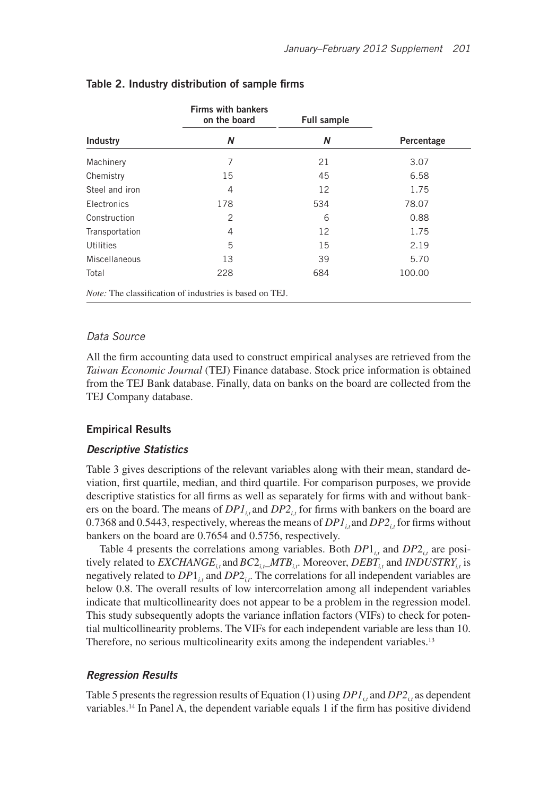|                  | <b>Firms with bankers</b><br>on the board                      | <b>Full sample</b> |            |
|------------------|----------------------------------------------------------------|--------------------|------------|
| Industry         | N                                                              | N                  | Percentage |
| Machinery        | 7                                                              | 21                 | 3.07       |
| Chemistry        | 15                                                             | 45                 | 6.58       |
| Steel and iron   | 4                                                              | 12                 | 1.75       |
| Electronics      | 178                                                            | 534                | 78.07      |
| Construction     | $\overline{c}$                                                 | 6                  | 0.88       |
| Transportation   | 4                                                              | 12                 | 1.75       |
| <b>Utilities</b> | 5                                                              | 15                 | 2.19       |
| Miscellaneous    | 13                                                             | 39                 | 5.70       |
| Total            | 228                                                            | 684                | 100.00     |
|                  | <i>Note:</i> The classification of industries is based on TEJ. |                    |            |

## Table 2. Industry distribution of sample firms

## *Data Source*

All the firm accounting data used to construct empirical analyses are retrieved from the *Taiwan Economic Journal* (TEJ) Finance database. Stock price information is obtained from the TEJ Bank database. Finally, data on banks on the board are collected from the TEJ Company database.

## Empirical Results

## *Descriptive Statistics*

Table 3 gives descriptions of the relevant variables along with their mean, standard deviation, first quartile, median, and third quartile. For comparison purposes, we provide descriptive statistics for all firms as well as separately for firms with and without bankers on the board. The means of  $DPI_{i,t}$  and  $DPI_{i,t}$  for firms with bankers on the board are 0.7368 and 0.5443, respectively, whereas the means of  $DPI_{i,t}$  and  $DPI_{i,t}$  for firms without bankers on the board are 0.7654 and 0.5756, respectively.

Table 4 presents the correlations among variables. Both  $DP1_{i,t}$  and  $DP2_{i,t}$  are positively related to  $EXCHANGE_{i,t}$  and  $BC2_{i,t}$ <sup> $MTB_{i,t}$ </sup>. Moreover,  $DEBT_{i,t}$  and  $INDUSTRY_{i,t}$  is negatively related to  $DP1_{i}$  and  $DP2_{i}$ . The correlations for all independent variables are below 0.8. The overall results of low intercorrelation among all independent variables indicate that multicollinearity does not appear to be a problem in the regression model. This study subsequently adopts the variance inflation factors (VIFs) to check for potential multicollinearity problems. The VIFs for each independent variable are less than 10. Therefore, no serious multicolinearity exits among the independent variables.<sup>13</sup>

## *Regression Results*

Table 5 presents the regression results of Equation (1) using  $DPI_{it}$  and  $DPI_{it}$  as dependent variables.14 In Panel A, the dependent variable equals 1 if the firm has positive dividend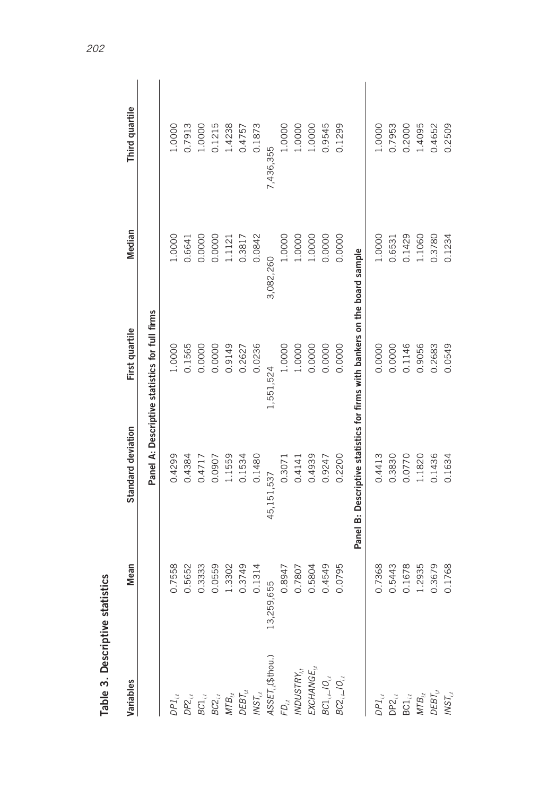| Table 3. Descriptive statistics                                           |                        |                                                                            |                                                |           |                |  |
|---------------------------------------------------------------------------|------------------------|----------------------------------------------------------------------------|------------------------------------------------|-----------|----------------|--|
| Variables                                                                 | Mean                   | Standard deviation                                                         | First quartile                                 | Median    | Third quartile |  |
|                                                                           |                        |                                                                            | Panel A: Descriptive statistics for full firms |           |                |  |
| $DPI_{ij}$                                                                | ∞<br>0.755             | 0.4299                                                                     | 1.0000                                         | 1.0000    | 1.0000         |  |
| $D$ P $2_{ij}$                                                            | $\mathcal{L}$<br>0.565 | 0.4384                                                                     | 0.1565                                         | 0.6641    | 0.7913         |  |
| $BCl_{\it it}$                                                            | S<br>0.333             | 0.4717                                                                     | 0.0000                                         | 0.0000    | 1.0000         |  |
| $BC2_{\iota,t}$                                                           | 0<br>0.055             | 0.0907                                                                     | 0.0000                                         | 0.0000    | 0.1215         |  |
|                                                                           | $\sim$<br>1.330        | 1.1559                                                                     | 0.9149                                         | 1.1121    | 1.4238         |  |
| $\begin{aligned} \textit{MTB}_{i,t} \\ \textit{DEBT}_{i,t} \end{aligned}$ | σ<br>0.374             | 0.1534                                                                     | 0.2627                                         | 0.3817    | 0.4757         |  |
| INST $_{kt}$                                                              | 4<br>0.131             | 0.1480                                                                     | 0.0236                                         | 0.0842    | 0.1873         |  |
| ASSET <sub>ik</sub> (\$thou.)                                             | 13,259,655             | 45,151,537                                                                 | 1,551,524                                      | 3,082,260 | 7,436,355      |  |
| FD <sub>it</sub>                                                          | ↖<br>0.894             | 0.3071                                                                     | 1.0000                                         | 1.0000    | 1.0000         |  |
| INDUSTR $Y_{kt}$                                                          | 0.780                  | 0.4141                                                                     | 1.0000                                         | 1.0000    | 1.0000         |  |
| $EXCHANGE_{i,t}$                                                          | 4<br>0.580             | 0.4939                                                                     | 0.0000                                         | 1.0000    | 1.0000         |  |
| $BC1_{i,t-}IO_{i,t}$                                                      | σ<br>0.454             | 0.9247                                                                     | 0.0000                                         | 0.0000    | 0.9545         |  |
| $BC2_{i,t-}IO_{i,t}$                                                      | ഥ<br>0.079             | 0.2200                                                                     | 0.0000                                         | 0.0000    | 0.1299         |  |
|                                                                           |                        | Panel B: Descriptive statistics for firms with bankers on the board sample |                                                |           |                |  |
| $DPI_{ij}$                                                                | $\infty$<br>0.736      | 0.4413                                                                     | 0.0000                                         | 1.0000    | 1.0000         |  |
| $DP2_{ij}$                                                                | S<br>0.544             | 0.3830                                                                     | 0.0000                                         | 0.6531    | 0.7953         |  |
| $BC1_{it}$                                                                | $\infty$<br>0.167      | 0.0770                                                                     | 0.1146                                         | 0.1429    | 0.2000         |  |
| $MTB_{ij}$                                                                | 5<br>1.293             | 1.1820                                                                     | 0.9056                                         | 1.1060    | 1.4095         |  |
| $DEBT_{i,t}$                                                              | G<br>0.367             | 0.1436                                                                     | 0.2683                                         | 0.3780    | 0.4652         |  |
| $INST_{ij}$                                                               | 0.1768                 | 0.1634                                                                     | 0.0549                                         | 0.1234    | 0.2509         |  |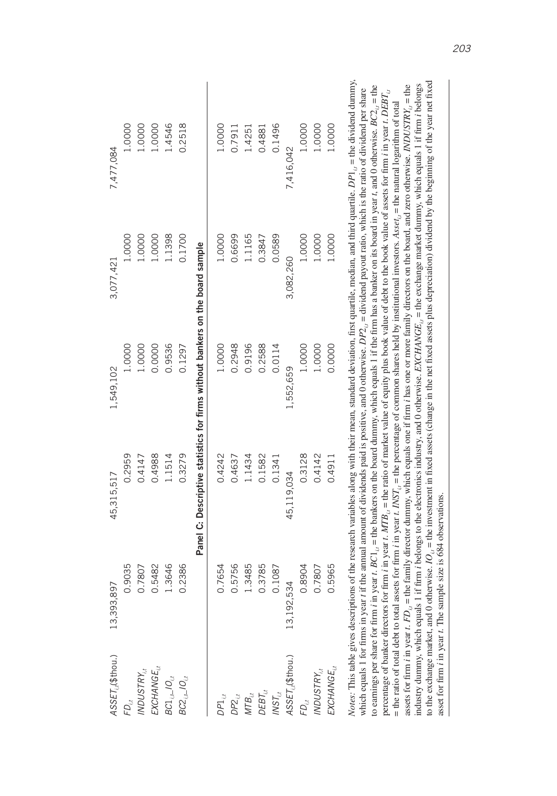| Panel C: Descriptive statistics for firms without bankers on the board sample<br>3,082,260<br>0.1297<br>0.9536<br>1.0000<br>0.2948<br>0.9196<br>0.2588<br>1.0000<br>0.0114<br>1.0000<br>0.0000<br>1.0000<br>.,552,659 | 0.3279<br>0.4242<br>0.2959<br>0.4988<br>0.4147<br>1.1514<br>1.1434<br>0.4637 |            |
|-----------------------------------------------------------------------------------------------------------------------------------------------------------------------------------------------------------------------|------------------------------------------------------------------------------|------------|
|                                                                                                                                                                                                                       |                                                                              |            |
|                                                                                                                                                                                                                       |                                                                              |            |
|                                                                                                                                                                                                                       |                                                                              |            |
|                                                                                                                                                                                                                       |                                                                              |            |
|                                                                                                                                                                                                                       |                                                                              |            |
|                                                                                                                                                                                                                       |                                                                              |            |
|                                                                                                                                                                                                                       |                                                                              |            |
|                                                                                                                                                                                                                       |                                                                              |            |
|                                                                                                                                                                                                                       |                                                                              |            |
|                                                                                                                                                                                                                       |                                                                              | 0.1582     |
|                                                                                                                                                                                                                       |                                                                              | 0.1341     |
|                                                                                                                                                                                                                       |                                                                              | 45,119,034 |
|                                                                                                                                                                                                                       |                                                                              | 0.3128     |
| 1.0000                                                                                                                                                                                                                |                                                                              | 0.4142     |
| 0.0000                                                                                                                                                                                                                |                                                                              | 0.4911     |

*Notes:* This table gives descriptions of the research variables along with their mean, standard deviation, first quartile, median, and third quartile. *DP*1*i,t* = the dividend dummy, to the exchange market, and 0 otherwise. *IO<sub>i</sub>* = the investment in fixed assets (change in the net fixed assets plus depreciation) dividend by the beginning of the year net fixed Notes: This table gives descriptions of the research variables along with their mean, standard deviation, first quartile, median, and third quartile. DP1 $_{i,i}$  = the dividend dummy, to the exchange market, and 0 otherwise.  $IO_{U}$  = the investment in fixed assets (change in the net fixed assets plus depreciation) dividend by the beginning of the year net fixed industry dummy, which equals 1 if firm *i* belongs to the electronics industry, and 0 otherwise. *EXCHANGE<sub>is</sub>* = the exchange market dummy, which equals 1 if firm *i* belongs industry dummy, which equals 1 if firm *i* belongs to the electronics industry, and 0 otherwise. *EXCHANGE<sub>it</sub>* = the exchange market dummy, which equals 1 if firm *i* belongs to earnings per share for firm *i* in year *t*. BC1<sub>i<sub>i</sub> = the bankers on the board dummy, which equals 1 if the firm has a banker on its board in year *t*, and 0 otherwise. BC2<sub>ii</sub> = the</sub> assets for firm *i* in year *t*.  $FD_{ti}$  = the family director dummy, which equals one if firm *i* has one or more family directors on the board, and zero otherwise. *INDUSTRY*<sub>is</sub> = the assets for firm *i* in year *t*. *FD<sub>ii</sub>* = the family director dummy, which equals one if firm *i* has one or more family directors on the board, and zero otherwise. *INDUSTRY<sub>i</sub>* = the to earnings per share for firm *i* in year t. BCl<sub>ti</sub> = the bankers on the board dummy, which equals 1 if the firm has a banker on its board in year t, and 0 otherwise. BC2<sub>i</sub>, = the which equals 1 for firms in year tif the annual amount of dividends paid is positive, and 0 otherwise.  $DP2_{i,t} =$  dividend payout ratio, which is the ratio of dividend per share which equals 1 for firms in year *t* if the annual amount of dividends paid is positive, and 0 otherwise. *DP2<sub>il</sub>* = dividend payout ratio, which is the ratio of dividend per share percentage of banker directors for firm *i* in year *t. MTB<sub>1</sub>* = the ratio of market value of equity plus book value of debt to the book value of assets for firm *i* in year *t. DEBT<sub>1</sub>* percentage of banker directors for firm *i* in year *t*. *MTB<sub>i,</sub>* = the ratio of market value of equity plus book value of debt to the book value of assets for firm *i* in year *t*. *DEBT<sub>i</sub>* = the ratio of total debt to total assets for firm *i* in year *i*. INST<sub>ii</sub> = the percentage of common shares held by institutional investors. Asset<sub>ii</sub> = the natural logarithm of total = the ratio of total debt to total assets for firm *i* in year *t*. *INSTi,t* = the percentage of common shares held by institutional investors. *Asseti,t*= the natural logarithm of total asset for firm *i* in year *t*. The sample size is 684 observations. asset for firm *i* in year *t*. The sample size is 684 observations.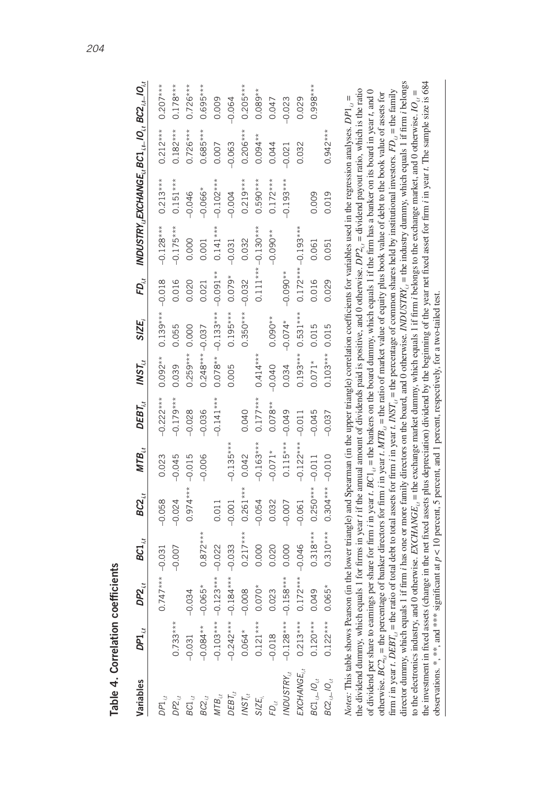| Variables                         | $DP1_{\tilde{t},t}$                | $DP2_{\mu}$           | $\bm{B}\mathbf{C}\mathbf{1}_{_{l\!I}}$ | $BC2_{it}$ | $MTB_{it}$  | $DEBT_{i,t}$ | INST $_{it}$     | SIZE,       | $\bar{E}_{\mu}$ |                     | INDUSTRY, EXCHANGE, , BC1, , _ IO, , _ BC2, , _ IO, , |            |            |
|-----------------------------------|------------------------------------|-----------------------|----------------------------------------|------------|-------------|--------------|------------------|-------------|-----------------|---------------------|-------------------------------------------------------|------------|------------|
| $DP1_{i,t}$                       |                                    | $0.747***$            | $-0.031$                               | $-0.058$   | 0.023       | $-0.222***$  | $0.092**$        | $0.139***$  | $-0.018$        | $-0.128***$         | $0.213***$                                            | $0.212***$ | $0.207***$ |
| $DP2_{i,t}$                       | $0.733***$                         |                       | $-0.007$                               | $-0.024$   | $-0.045$    | $-0.179***$  | 0.039            | 0.055       | 0.016           | $-0.175***$         | $0.151***$                                            | $0.182***$ | $0.178***$ |
| $BC1_{it}$                        | $-0.031$                           | $-0.034$              |                                        | $0.974***$ | $-0.015$    | $-0.028$     | $0.259***$       | 0.000       | 0.020           | 0.000               | $-0.046$                                              | $0.726***$ | $0.726***$ |
| $BC2_{\mu t}$                     | $-0.084**$                         | $-0.065*$             | $0.872***$                             |            | $-0.006$    | $-0.036$     | $0.248***-0.037$ |             | 0.021           | 0.001               | $-0.066*$                                             | 0.685***   | $0.695***$ |
| $MTB_{\mu t}$                     |                                    | $-0.103***-0.123***$  | $-0.022$                               | 0.011      |             | $-0.141***$  | $0.078**$        | $-0.133***$ | $-0.091**$      | $0.141***$          | $-0.102***$                                           | 0.007      | 0.009      |
| $DEBT_{\!\scriptscriptstyle i,t}$ |                                    | $-0.242***$ -0.184*** | $-0.033$                               | $-0.001$   | $-0.135***$ |              | 0.005            | $0.195***$  | $0.079*$        | $-0.031$            | $-0.004$                                              | $-0.063$   | $-0.064$   |
| $INST_{it}$                       | 0.064*                             | $-0.008$              | $0.217***$                             | $0.261***$ | 0.042       | 0.040        |                  | $0.350***$  | $-0.032$        | 0.032               | $0.219***$                                            | $0.206***$ | $0.205***$ |
| SIZE,                             | $0.121***$                         | $0.070*$              | 0.000                                  | $-0.054$   | $-0.163***$ | $0.177***$   | $0.414***$       |             |                 | $0.111**-0.130**$   | $0.590***$                                            | $0.094**$  | $0.089**$  |
| FD <sub>it</sub>                  | $-0.018$                           | 0.023                 | 0.020                                  | 0.032      | $-0.071*$   | $0.078**$    | $-0.040$         | $0.090**$   |                 | $-0.090**$          | $0.172***$                                            | 0.044      | 0.047      |
|                                   | $NDUSTRY_{14}$ -0.128*** -0.158*** |                       | 0.000                                  | $-0.007$   | $0.115***$  | $-0.049$     | 0.034            | $-0.074*$   | $-0.090**$      |                     | $-0.193***$                                           | $-0.021$   | $-0.023$   |
| $EXCHANCE_{i,t}$                  | $0.213***$                         | $0.172***$            | $-0.046$                               | $-0.061$   | $-0.122***$ | $-0.011$     | $0.193***$       | $0.531***$  |                 | $0.172***-0.193***$ |                                                       | 0.032      | 0.029      |
| $BC1_{i,t\leftarrow}/O_{i,t}$     | $0.120***$                         | 0.049                 | $0.318***$                             | $0.250***$ | $-0.011$    | $-0.045$     | $0.071*$         | 0.015       | 0.016           | 0.061               | 0.009                                                 |            | $0.998***$ |
| $BC2_{i,\pm}$ /O <sub>i,t</sub>   | $0.122***0.065*$                   |                       | $0.310***$                             | $0.304***$ | $-0.010$    | $-0.037$     | $0.103***$       | 0.015       | 0.029           | 0.051               | 0.019                                                 | $0.942***$ |            |

director dummy, which equals 1 if firm *i* has one or more family directors on the board, and 0 otherwise. *INDUSTRY<sub>i,</sub>* = the industry dummy, which equals 1 if firm *i* belongs the investment in fixed assets (change in the net fixed assets plus depreciation) dividend by the beginning of the year net fixed asset for firm *i* in year *t*. The sample size is 684 director dummy, which equals 1 if firm *i* has one or more family directors on the board, and 0 otherwise. *INDUSTRY*, = the industry dummy, which equals 1 if firm *i* belongs the investment in fixed assets (change in the net fixed assets plus depreciation) dividend by the beginning of the year net fixed asset for firm *i* in year t. The sample size is 684 the dividend dummy, which equals 1 for firms in year *t* if the annual amount of dividends paid is positive, and 0 otherwise. *DP*2<sub>*i*,<sup> $=$ </sup> dividend payout ratio, which is the ratio</sub>  $\circ$ of dividend per share to earnings per share for firm *i* in year t.  $BC1_{ij}$  = the bankers on the board dummy, which equals 1 if the firm has a banker on its board in year t, and 0 of dividend per share to earnings per share for firm *i* in year *t*. *BC*1*i,t* = the bankers on the board dummy, which equals 1 if the firm has a banker on its board in year *t*, and 0 firm *i* in year t. DEBT<sub>i</sub> = the ratio of total debt to total assets for firm *i* in year t. INST<sub>i</sub> = the percentage of common shares held by institutional investors. FD<sub>i</sub>, = the family firm *i* in year *t. DEBT<sub>ic</sub>* = the ratio of total debt to total assets for firm *i* in year *t. INST<sub>ic</sub>* = the percentage of common shares held by institutional investors.  $FD_{i,c}$  = the family to the electronics industry, and 0 otherwise. EXCHANGE<sub>u</sub> = the exchange market dummy, which equals 1 if firm i belongs to the exchange market, and 0 otherwise. IO<sub>ii</sub> = otherwise.  $BC_{2i}$  = the percentage of banker directors for firm *i* in year t. MTB<sub>i</sub> = the ratio of market value of equity plus book value of debt to the book value of assets for to the electronics industry, and 0 otherwise. *EXCHANGE<sub>i,</sub>* = the exchange market dummy, which equals 1 if firm *i* belongs to the exchange market, and 0 otherwise.  $IO_i$ , = otherwise.  $BC_{2i}$  = the percentage of banker directors for firm *i* in year *t. MTB<sub>i</sub>*, = the ratio of market value of equity plus book value of debt to the book value of assets for observations.  $*$ ,  $**$ , and  $***$  significant at  $p < 10$  percent, 5 percent, and 1 percent, respectively, for a two-tailed test. *p* < 10 percent, 5 percent, and 1 percent, respectively, for a two-tailed test.observations. \*, \*\*, and \*\*\* significant at

*204 Emerging Markets Finance & Trade*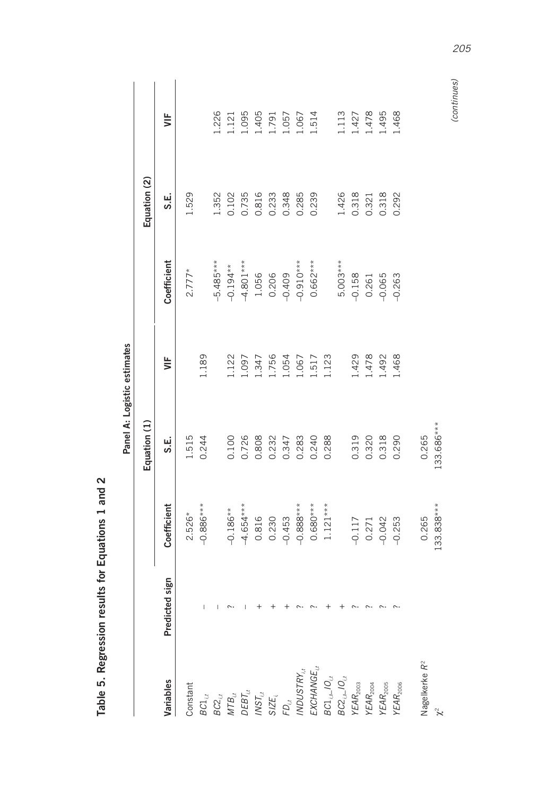|                                                                                                                                             |                |             |              | Lanel v: Forlow Exillidies |             |              |               |  |
|---------------------------------------------------------------------------------------------------------------------------------------------|----------------|-------------|--------------|----------------------------|-------------|--------------|---------------|--|
|                                                                                                                                             |                |             | Equation (1) |                            |             | Equation (2) |               |  |
| Variables                                                                                                                                   | Predicted sign | Coefficient | نا<br>S.E    | $\equiv$                   | Coefficient | نا<br>ئ      | $\frac{1}{2}$ |  |
| Constant                                                                                                                                    |                | $2.526*$    | 1.515        |                            | $2.777*$    | 1.529        |               |  |
| $BC1_{_{i,t}}$                                                                                                                              |                | $-0.886***$ | 0.244        | 1.189                      |             |              |               |  |
| $BC2_{i,t}$                                                                                                                                 |                |             |              |                            | $-5.485***$ | 1.352        | 1.226         |  |
|                                                                                                                                             |                | $-0.186**$  | 0.100        | 1.22                       | $-0.194**$  | 0.102        | 1.121         |  |
|                                                                                                                                             |                | $-4.654***$ | 0.726        | 1.097                      | $-4.801***$ | 0.735        | 1.095         |  |
|                                                                                                                                             |                | 0.816       | 0.808        | 1.347                      | 1.056       | 0.816        | 1.405         |  |
| $\begin{array}{l} \textit{MTB}_{i,t} \\ \textit{DEB} \, \textit{T}_{i,t} \\ \textit{INS} \, \textit{T}_{i,t} \\ \textit{SIZE}, \end{array}$ |                | 0.230       | 0.232        | 1.756                      | 0.206       | 0.233        | 1.791         |  |
| $\mathit{FD}_{it}$                                                                                                                          |                | $-0.453$    | 0.347        | 1.054                      | $-0.409$    | 0.348        | 1.057         |  |
| NDUSTRY <sub>it</sub>                                                                                                                       |                | $-0.888***$ | 0.283        | 1.067                      | $-0.910***$ | 0.285        | 1.067         |  |
| $XCHANCE_{i,t}$                                                                                                                             |                | $0.680***$  | 0.240        | 1.517                      | $0.662***$  | 0.239        | 1.514         |  |
| $BC1_{i,\leftarrow}IO_{i,t}$                                                                                                                |                | $1.121***$  | 0.288        | 1.123                      |             |              |               |  |
|                                                                                                                                             |                |             |              |                            | 5.003***    | 1.426        | 1.113         |  |
|                                                                                                                                             |                | $-0.117$    | 0.319        | 1.429                      | $-0.158$    | 0.318        | 1.427         |  |
|                                                                                                                                             |                | 0.271       | 0.320        | 1.478                      | 0.261       | 0.321        | 1.478         |  |
|                                                                                                                                             |                | $-0.042$    | 0.318        | 1.492                      | $-0.065$    | 0.318        | 1.495         |  |
| $YEAR_{2006}$                                                                                                                               |                | $-0.253$    | 0.290        | 1.468                      | $-0.263$    | 0.292        | 1.468         |  |
| Nagelkerke R <sup>2</sup>                                                                                                                   |                | 0.265       | 0.265        |                            |             |              |               |  |
| $\approx$                                                                                                                                   |                | 133.838***  | 133.686***   |                            |             |              |               |  |
|                                                                                                                                             |                |             |              |                            |             |              | (continues)   |  |

Panel A: Logistic estimates Panel A: Logistic estimates

Table 5. Regression results for Equations 1 and 2

Table 5. Regression results for Equations 1 and 2

*January–February 2012 Supplement 205*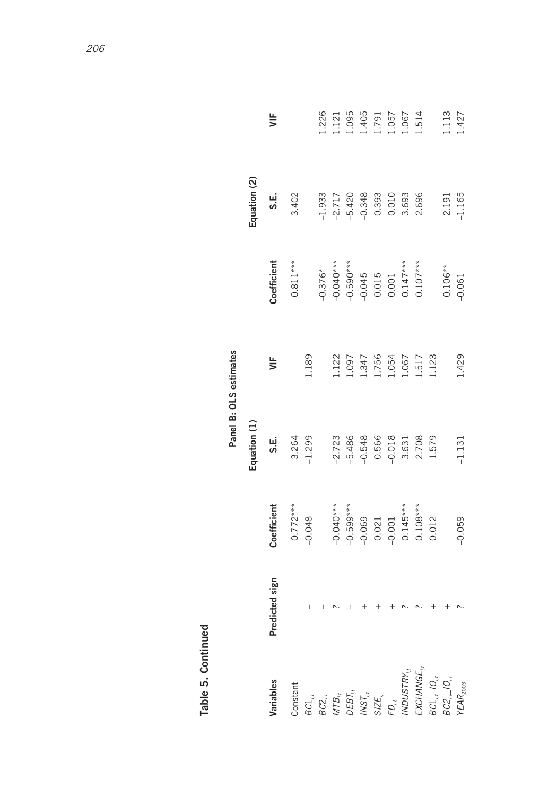| Table 5. Continued                                                                                                                              |                |             |              |                                  |                            |                                  |                                                                 |  |
|-------------------------------------------------------------------------------------------------------------------------------------------------|----------------|-------------|--------------|----------------------------------|----------------------------|----------------------------------|-----------------------------------------------------------------|--|
|                                                                                                                                                 |                |             |              | Panel B: OLS estimates           |                            |                                  |                                                                 |  |
|                                                                                                                                                 |                |             | Equation (1) |                                  |                            | Equation (2)                     |                                                                 |  |
| /ariables                                                                                                                                       | Predicted sign | Coefficient | نا<br>\$     | $\frac{1}{2}$                    | Coefficient                | نيا<br>\$                        | $\frac{1}{2}$                                                   |  |
| Constant                                                                                                                                        |                | $0.772***$  | 3.264        |                                  | $0.811***$                 | 3.402                            |                                                                 |  |
| $BCl_{\ _{lf}}$                                                                                                                                 |                | $-0.048$    | $-1.299$     | 1.189                            |                            |                                  |                                                                 |  |
|                                                                                                                                                 |                |             |              |                                  | $-0.376*$                  |                                  | 1.226                                                           |  |
|                                                                                                                                                 |                | $-0.040**$  | $-2.723$     | 1.22                             | $-0.040***$                |                                  | 1.121                                                           |  |
| $\begin{array}{l} B C 2_{i,t} \\ M T B_{i,t} \\ D E B \mathcal{T}_{i,t} \\ N S I \mathcal{L} E_{i,t} \\ S I Z E_{i,t} \\ F D_{i,t} \end{array}$ |                | $-0.599***$ | $-5.486$     | <b>L60<sup>T</sup></b>           | $-0.590***$                | $-1.933$<br>$-2.717$<br>$-5.420$ | 1.095                                                           |  |
|                                                                                                                                                 |                | $-0.069$    | $-0.548$     |                                  |                            | $-0.348$                         |                                                                 |  |
|                                                                                                                                                 |                | 0.021       | 0.566        | 1.347<br>1.756<br>1.054<br>1.067 | $-0.045$<br>0.015<br>0.001 |                                  | $\begin{array}{c} 1.405 \\ 1.791 \\ 1.057 \\ 1.067 \end{array}$ |  |
|                                                                                                                                                 |                | $-0.001$    | $-0.018$     |                                  |                            | 0.393<br>0.010                   |                                                                 |  |
| <b>INDUSTRY</b> $_{it}$                                                                                                                         |                | $-0.145***$ | $-3.631$     |                                  | $-0.147***$                | $-3.693$                         |                                                                 |  |
| $\mathsf{EXCHANCE}_{i,t}$                                                                                                                       |                | $0.108***$  | 2.708        | 1.517<br>1.123                   | $0.107***$                 | 2.696                            | 1.514                                                           |  |
| $BC1_{i,t=1}O_{i,t}$                                                                                                                            |                | 0.012       | 1.579        |                                  |                            |                                  |                                                                 |  |
| $BC2_{i,\text{t}-}IO_{i,t}$                                                                                                                     |                |             |              |                                  | $0.106**$                  | 2.191                            | 1.113                                                           |  |
| YERAR <sub>2003</sub>                                                                                                                           |                | $-0.059$    | $-1.131$     | 1.429                            | $-0.061$                   | $-1.165$                         | 1.427                                                           |  |

Table 5. Continued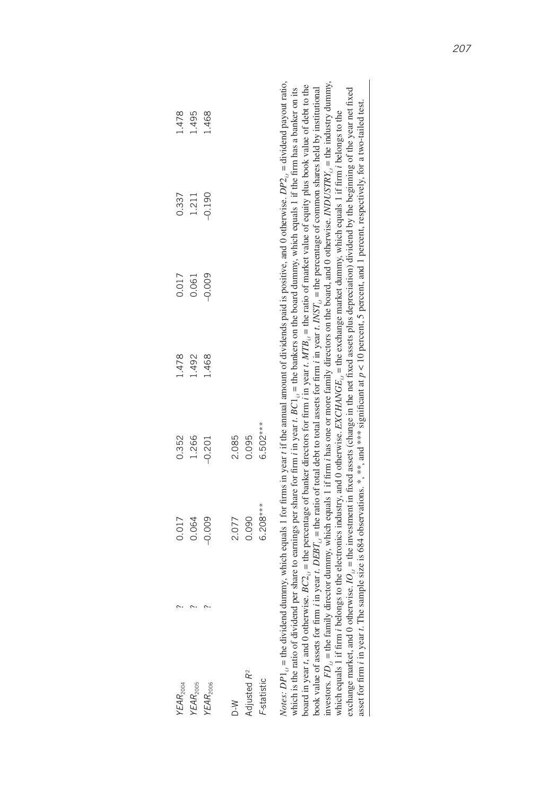| /EAR <sub>2004</sub><br>/EAR <sub>2005</sub><br>/EAR <sub>2006</sub> | 0.017<br>0.064<br>0.009    | 0.352<br>1.266<br>-0.201     | 1.478<br>1.492<br>1.468 | 0.017<br>190.0<br>0.009 | 0.337<br>1.211<br>-0.190 | 1.478<br>1.495<br>1.468 |
|----------------------------------------------------------------------|----------------------------|------------------------------|-------------------------|-------------------------|--------------------------|-------------------------|
|                                                                      |                            |                              |                         |                         |                          |                         |
|                                                                      |                            |                              |                         |                         |                          |                         |
| \djusted,                                                            | 2.077<br>0.090<br>5.208*** | $2.085$<br>0.095<br>5.502*** |                         |                         |                          |                         |
| -statistic                                                           |                            |                              |                         |                         |                          |                         |
|                                                                      |                            |                              |                         |                         |                          |                         |

*Notes: DP1<sub>i,i</sub>* = the dividend dummy, which equals 1 for firms in year *t* if the annual amount of dividends paid is positive, and 0 otherwise. *DP*2<sub>*i*i</sub> = dividend payout ratio, investors. *FD<sub>i,</sub>* = the family director dummy, which equals 1 if firm *i* has one or more family directors on the board, and 0 otherwise. *INDUSTRY<sub>i,</sub>* = the industry dummy, *Notes:*  $DP_1$ , = the dividend dummy, which equals 1 for firms in year t if the annual amount of dividends paid is positive, and 0 otherwise.  $DP_2$ , = dividend payout ratio, board in year t, and 0 otherwise.  $BC_2$ , = the percentage of banker directors for firm i in year t.  $MTB_i$  = the ratio of market value of equity plus book value of debt to the board in year *t*, and 0 otherwise.  $BC2<sub>i</sub>$  = the percentage of banker directors for firm *i* in year *t. MTB<sub>i</sub>* = the ratio of market value of equity plus book value of debt to the investors. FD, = the family director dummy, which equals 1 if firm i has one or more family directors on the board, and 0 otherwise. *INDUSTRY*, = the industry dummy book value of assets for firm *i* in year *t. DEBT<sub>u</sub>* = the ratio of total debt to total assets for firm *i* in year *t*. *INST<sub>u</sub>* = the percentage of common shares held by institutional book value of assets for firm *i* in year *t. DEBT<sub>i,</sub>* = the ratio of total debt to total assets for firm *i* in year *t*. *INST<sub>i,</sub>* = the percentage of common shares held by institutional which is the ratio of dividend per share to earnings per share for firm *i* in year t.  $BCL_{i}$  = the bankers on the board dummy, which equals 1 if the firm has a banker on its which is the ratio of dividend per share to earnings per share for firm *i* in year *t*. *BC*1<sub>*i*,</sub> = the bankers on the board dummy, which equals 1 if the firm has a banker on its exchange market, and 0 otherwise.  $IO_{i,j}$  = the investment in fixed assets (change in the net fixed assets plus depreciation) dividend by the beginning of the year net fixed exchange market, and 0 otherwise.  $IO_{ii}$  = the investment in fixed assets (change in the net fixed assets plus depreciation) dividend by the beginning of the year net fixed asset for firm *i* in year *t*. The sample size is 684 observations. \*, \*\*, and \*\*\* significant at  $p < 10$  percent, 5 percent, and 1 percent, respectively, for a two-tailed test. asset for firm *i* in year *t*. The sample size is 684 observations. \*, \*\*, and \*\*\* significant at *p* < 10 percent, 5 percent, and 1 percent, respectively, for a two-tailed test.which equals 1 if firm *i* belongs to the electronics industry, and 0 otherwise. *EXCHANGE<sub>i,</sub>* = the exchange market dummy, which equals 1 if firm *i* belongs to the which equals 1 if firm *i* belongs to the electronics industry, and 0 otherwise. *EXCHANGE<sub>it</sub>* = the exchange market dummy, which equals 1 if firm *i* belongs to the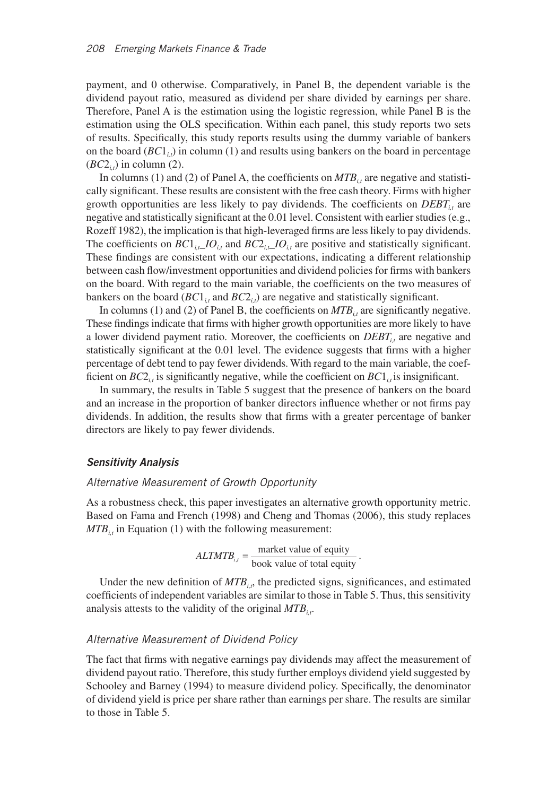payment, and 0 otherwise. Comparatively, in Panel B, the dependent variable is the dividend payout ratio, measured as dividend per share divided by earnings per share. Therefore, Panel A is the estimation using the logistic regression, while Panel B is the estimation using the OLS specification. Within each panel, this study reports two sets of results. Specifically, this study reports results using the dummy variable of bankers on the board  $(BC1<sub>i</sub>)$  in column (1) and results using bankers on the board in percentage  $(BC2_i)$  in column (2).

In columns (1) and (2) of Panel A, the coefficients on  $MTB_i$ , are negative and statistically significant. These results are consistent with the free cash theory. Firms with higher growth opportunities are less likely to pay dividends. The coefficients on *DEBT<sub>i</sub>*, are negative and statistically significant at the 0.01 level. Consistent with earlier studies (e.g., Rozeff 1982), the implication is that high-leveraged firms are less likely to pay dividends. The coefficients on  $BC1_{i,t}$ *\_IO<sub>it</sub>* and  $BC2_{i,t}$ *\_IO<sub>it</sub>* are positive and statistically significant. These findings are consistent with our expectations, indicating a different relationship between cash flow/investment opportunities and dividend policies for firms with bankers on the board. With regard to the main variable, the coefficients on the two measures of bankers on the board  $(BCl_{i,t}$  and  $BC2_{i,t}$ <sup>2</sup> are negative and statistically significant.

In columns (1) and (2) of Panel B, the coefficients on  $MTB_i$ , are significantly negative. These findings indicate that firms with higher growth opportunities are more likely to have a lower dividend payment ratio. Moreover, the coefficients on *DEBT<sub>i</sub>*, are negative and statistically significant at the 0.01 level. The evidence suggests that firms with a higher percentage of debt tend to pay fewer dividends. With regard to the main variable, the coefficient on  $BC2_i$ , is significantly negative, while the coefficient on  $BC1_i$ , is insignificant.

In summary, the results in Table 5 suggest that the presence of bankers on the board and an increase in the proportion of banker directors influence whether or not firms pay dividends. In addition, the results show that firms with a greater percentage of banker directors are likely to pay fewer dividends.

## *Sensitivity Analysis*

## *Alternative Measurement of Growth Opportunity*

As a robustness check, this paper investigates an alternative growth opportunity metric. Based on Fama and French (1998) and Cheng and Thomas (2006), this study replaces  $MTB_{i,t}$  in Equation (1) with the following measurement:

$$
ALTMTB_{i,t} = \frac{\text{market value of equity}}{\text{book value of total equity}}.
$$

Under the new definition of  $MTB<sub>i</sub>$ , the predicted signs, significances, and estimated coefficients of independent variables are similar to those in Table 5. Thus, this sensitivity analysis attests to the validity of the original *MTB<sub>i</sub>*.

#### *Alternative Measurement of Dividend Policy*

The fact that firms with negative earnings pay dividends may affect the measurement of dividend payout ratio. Therefore, this study further employs dividend yield suggested by Schooley and Barney (1994) to measure dividend policy. Specifically, the denominator of dividend yield is price per share rather than earnings per share. The results are similar to those in Table 5.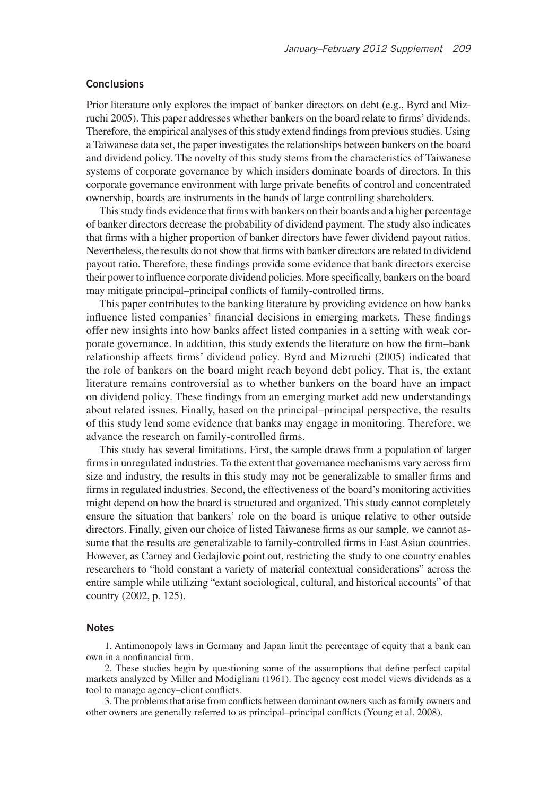## **Conclusions**

Prior literature only explores the impact of banker directors on debt (e.g., Byrd and Mizruchi 2005). This paper addresses whether bankers on the board relate to firms' dividends. Therefore, the empirical analyses of this study extend findings from previous studies. Using a Taiwanese data set, the paper investigates the relationships between bankers on the board and dividend policy. The novelty of this study stems from the characteristics of Taiwanese systems of corporate governance by which insiders dominate boards of directors. In this corporate governance environment with large private benefits of control and concentrated ownership, boards are instruments in the hands of large controlling shareholders.

This study finds evidence that firms with bankers on their boards and a higher percentage of banker directors decrease the probability of dividend payment. The study also indicates that firms with a higher proportion of banker directors have fewer dividend payout ratios. Nevertheless, the results do not show that firms with banker directors are related to dividend payout ratio. Therefore, these findings provide some evidence that bank directors exercise their power to influence corporate dividend policies. More specifically, bankers on the board may mitigate principal–principal conflicts of family-controlled firms.

This paper contributes to the banking literature by providing evidence on how banks influence listed companies' financial decisions in emerging markets. These findings offer new insights into how banks affect listed companies in a setting with weak corporate governance. In addition, this study extends the literature on how the firm–bank relationship affects firms' dividend policy. Byrd and Mizruchi (2005) indicated that the role of bankers on the board might reach beyond debt policy. That is, the extant literature remains controversial as to whether bankers on the board have an impact on dividend policy. These findings from an emerging market add new understandings about related issues. Finally, based on the principal–principal perspective, the results of this study lend some evidence that banks may engage in monitoring. Therefore, we advance the research on family-controlled firms.

This study has several limitations. First, the sample draws from a population of larger firms in unregulated industries. To the extent that governance mechanisms vary across firm size and industry, the results in this study may not be generalizable to smaller firms and firms in regulated industries. Second, the effectiveness of the board's monitoring activities might depend on how the board is structured and organized. This study cannot completely ensure the situation that bankers' role on the board is unique relative to other outside directors. Finally, given our choice of listed Taiwanese firms as our sample, we cannot assume that the results are generalizable to family-controlled firms in East Asian countries. However, as Carney and Gedajlovic point out, restricting the study to one country enables researchers to "hold constant a variety of material contextual considerations" across the entire sample while utilizing "extant sociological, cultural, and historical accounts" of that country (2002, p. 125).

#### Notes

1. Antimonopoly laws in Germany and Japan limit the percentage of equity that a bank can own in a nonfinancial firm.

2. These studies begin by questioning some of the assumptions that define perfect capital markets analyzed by Miller and Modigliani (1961). The agency cost model views dividends as a tool to manage agency–client conflicts.

3. The problems that arise from conflicts between dominant owners such as family owners and other owners are generally referred to as principal–principal conflicts (Young et al. 2008).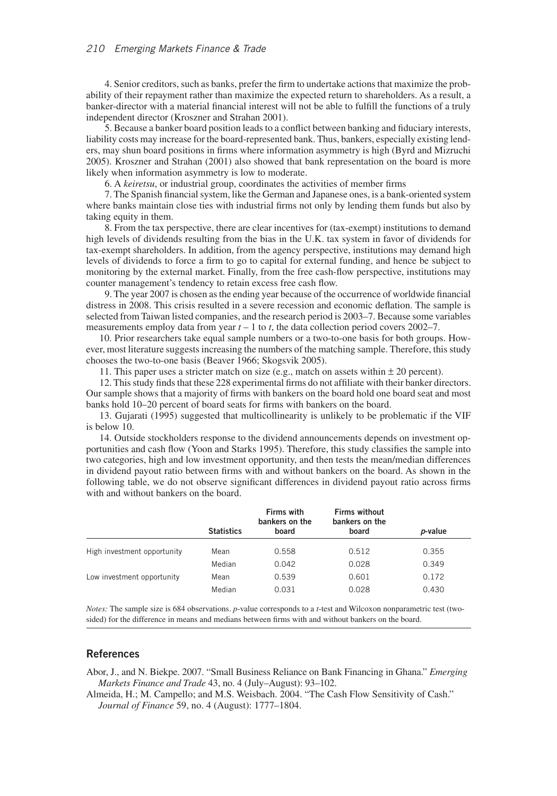4. Senior creditors, such as banks, prefer the firm to undertake actions that maximize the probability of their repayment rather than maximize the expected return to shareholders. As a result, a banker-director with a material financial interest will not be able to fulfill the functions of a truly independent director (Kroszner and Strahan 2001).

5. Because a banker board position leads to a conflict between banking and fiduciary interests, liability costs may increase for the board-represented bank. Thus, bankers, especially existing lenders, may shun board positions in firms where information asymmetry is high (Byrd and Mizruchi 2005). Kroszner and Strahan (2001) also showed that bank representation on the board is more likely when information asymmetry is low to moderate.

6. A *keiretsu*, or industrial group, coordinates the activities of member firms

7. The Spanish financial system, like the German and Japanese ones, is a bank-oriented system where banks maintain close ties with industrial firms not only by lending them funds but also by taking equity in them.

8. From the tax perspective, there are clear incentives for (tax-exempt) institutions to demand high levels of dividends resulting from the bias in the U.K. tax system in favor of dividends for tax-exempt shareholders. In addition, from the agency perspective, institutions may demand high levels of dividends to force a firm to go to capital for external funding, and hence be subject to monitoring by the external market. Finally, from the free cash-flow perspective, institutions may counter management's tendency to retain excess free cash flow.

9. The year 2007 is chosen as the ending year because of the occurrence of worldwide financial distress in 2008. This crisis resulted in a severe recession and economic deflation. The sample is selected from Taiwan listed companies, and the research period is 2003–7. Because some variables measurements employ data from year  $t - 1$  to  $t$ , the data collection period covers 2002–7.

10. Prior researchers take equal sample numbers or a two-to-one basis for both groups. However, most literature suggests increasing the numbers of the matching sample. Therefore, this study chooses the two-to-one basis (Beaver 1966; Skogsvik 2005).

11. This paper uses a stricter match on size (e.g., match on assets within  $\pm 20$  percent).

12. This study finds that these 228 experimental firms do not affiliate with their banker directors. Our sample shows that a majority of firms with bankers on the board hold one board seat and most banks hold 10–20 percent of board seats for firms with bankers on the board.

13. Gujarati (1995) suggested that multicollinearity is unlikely to be problematic if the VIF is below 10.

14. Outside stockholders response to the dividend announcements depends on investment opportunities and cash flow (Yoon and Starks 1995). Therefore, this study classifies the sample into two categories, high and low investment opportunity, and then tests the mean/median differences in dividend payout ratio between firms with and without bankers on the board. As shown in the following table, we do not observe significant differences in dividend payout ratio across firms with and without bankers on the board.

|                             | <b>Statistics</b> | <b>Firms with</b><br>bankers on the<br>board | <b>Firms without</b><br>bankers on the<br>board | p-value |
|-----------------------------|-------------------|----------------------------------------------|-------------------------------------------------|---------|
| High investment opportunity | Mean              | 0.558                                        | 0.512                                           | 0.355   |
|                             | Median            | 0.042                                        | 0.028                                           | 0.349   |
| Low investment opportunity  | Mean              | 0.539                                        | 0.601                                           | 0.172   |
|                             | Median            | 0.031                                        | 0.028                                           | 0.430   |

*Notes:* The sample size is 684 observations. *p*-value corresponds to a *t*-test and Wilcoxon nonparametric test (twosided) for the difference in means and medians between firms with and without bankers on the board.

#### References

Abor, J., and N. Biekpe. 2007. "Small Business Reliance on Bank Financing in Ghana." *Emerging Markets Finance and Trade* 43, no. 4 (July–August): 93–102.

Almeida, H.; M. Campello; and M.S. Weisbach. 2004. "The Cash Flow Sensitivity of Cash." *Journal of Finance* 59, no. 4 (August): 1777–1804.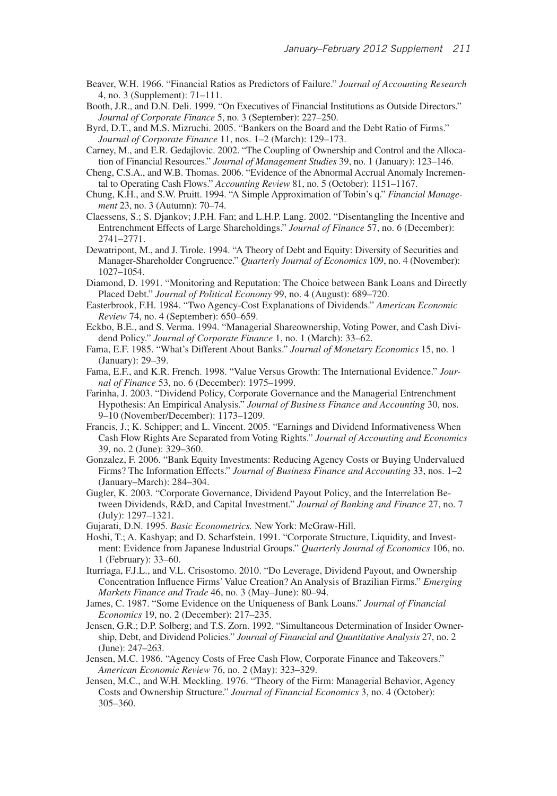- Beaver, W.H. 1966. "Financial Ratios as Predictors of Failure." *Journal of Accounting Research* 4, no. 3 (Supplement): 71–111.
- Booth, J.R., and D.N. Deli. 1999. "On Executives of Financial Institutions as Outside Directors." *Journal of Corporate Finance* 5, no. 3 (September): 227–250.

Byrd, D.T., and M.S. Mizruchi. 2005. "Bankers on the Board and the Debt Ratio of Firms." *Journal of Corporate Finance* 11, nos. 1–2 (March): 129–173.

- Carney, M., and E.R. Gedajlovic. 2002. "The Coupling of Ownership and Control and the Allocation of Financial Resources." *Journal of Management Studies* 39, no. 1 (January): 123–146.
- Cheng, C.S.A., and W.B. Thomas. 2006. "Evidence of the Abnormal Accrual Anomaly Incremental to Operating Cash Flows." *Accounting Review* 81, no. 5 (October): 1151–1167.
- Chung, K.H., and S.W. Pruitt. 1994. "A Simple Approximation of Tobin's q." *Financial Management* 23, no. 3 (Autumn): 70–74.
- Claessens, S.; S. Djankov; J.P.H. Fan; and L.H.P. Lang. 2002. "Disentangling the Incentive and Entrenchment Effects of Large Shareholdings." *Journal of Finance* 57, no. 6 (December): 2741–2771.
- Dewatripont, M., and J. Tirole. 1994. "A Theory of Debt and Equity: Diversity of Securities and Manager-Shareholder Congruence." *Quarterly Journal of Economics* 109, no. 4 (November): 1027–1054.
- Diamond, D. 1991. "Monitoring and Reputation: The Choice between Bank Loans and Directly Placed Debt." *Journal of Political Economy* 99, no. 4 (August): 689–720.
- Easterbrook, F.H. 1984. "Two Agency-Cost Explanations of Dividends." *American Economic Review* 74, no. 4 (September): 650–659.
- Eckbo, B.E., and S. Verma. 1994. "Managerial Shareownership, Voting Power, and Cash Dividend Policy." *Journal of Corporate Finance* 1, no. 1 (March): 33–62.
- Fama, E.F. 1985. "What's Different About Banks." *Journal of Monetary Economics* 15, no. 1 (January): 29–39.
- Fama, E.F., and K.R. French. 1998. "Value Versus Growth: The International Evidence." *Journal of Finance* 53, no. 6 (December): 1975–1999.
- Farinha, J. 2003. "Dividend Policy, Corporate Governance and the Managerial Entrenchment Hypothesis: An Empirical Analysis." *Journal of Business Finance and Accounting* 30, nos. 9–10 (November/December): 1173–1209.
- Francis, J.; K. Schipper; and L. Vincent. 2005. "Earnings and Dividend Informativeness When Cash Flow Rights Are Separated from Voting Rights." *Journal of Accounting and Economics* 39, no. 2 (June): 329–360.
- Gonzalez, F. 2006. "Bank Equity Investments: Reducing Agency Costs or Buying Undervalued Firms? The Information Effects." *Journal of Business Finance and Accounting* 33, nos. 1–2 (January–March): 284–304.
- Gugler, K. 2003. "Corporate Governance, Dividend Payout Policy, and the Interrelation Between Dividends, R&D, and Capital Investment." *Journal of Banking and Finance* 27, no. 7 (July): 1297–1321.
- Gujarati, D.N. 1995. *Basic Econometrics.* New York: McGraw-Hill.
- Hoshi, T.; A. Kashyap; and D. Scharfstein. 1991. "Corporate Structure, Liquidity, and Investment: Evidence from Japanese Industrial Groups." *Quarterly Journal of Economics* 106, no. 1 (February): 33–60.
- Iturriaga, F.J.L., and V.L. Crisostomo. 2010. "Do Leverage, Dividend Payout, and Ownership Concentration Influence Firms' Value Creation? An Analysis of Brazilian Firms." *Emerging Markets Finance and Trade* 46, no. 3 (May–June): 80–94.
- James, C. 1987. "Some Evidence on the Uniqueness of Bank Loans." *Journal of Financial Economics* 19, no. 2 (December): 217–235.
- Jensen, G.R.; D.P. Solberg; and T.S. Zorn. 1992. "Simultaneous Determination of Insider Ownership, Debt, and Dividend Policies." *Journal of Financial and Quantitative Analysis* 27, no. 2 (June): 247–263.
- Jensen, M.C. 1986. "Agency Costs of Free Cash Flow, Corporate Finance and Takeovers." *American Economic Review* 76, no. 2 (May): 323–329.
- Jensen, M.C., and W.H. Meckling. 1976. "Theory of the Firm: Managerial Behavior, Agency Costs and Ownership Structure." *Journal of Financial Economics* 3, no. 4 (October): 305–360.